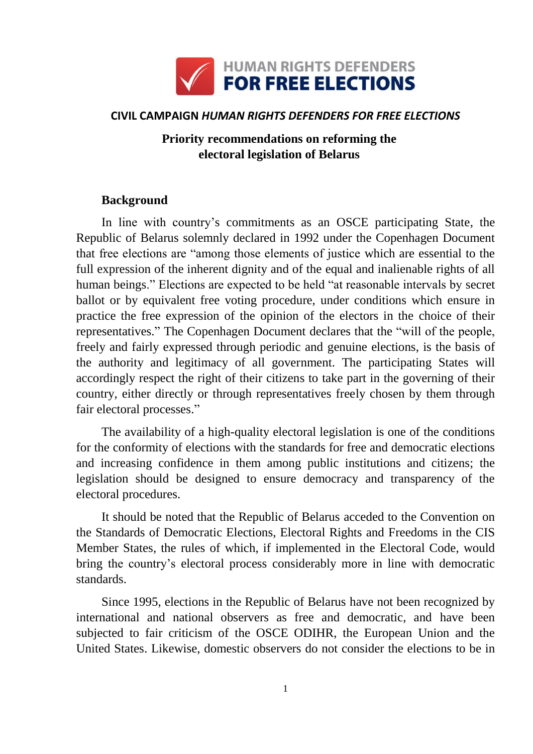

# **CIVIL CAMPAIGN** *HUMAN RIGHTS DEFENDERS FOR FREE ELECTIONS*

# **Priority recommendations on reforming the electoral legislation of Belarus**

## **Background**

In line with country's commitments as an OSCE participating State, the Republic of Belarus solemnly declared in 1992 under the Copenhagen Document that free elections are "among those elements of justice which are essential to the full expression of the inherent dignity and of the equal and inalienable rights of all human beings." Elections are expected to be held "at reasonable intervals by secret ballot or by equivalent free voting procedure, under conditions which ensure in practice the free expression of the opinion of the electors in the choice of their representatives." The Copenhagen Document declares that the "will of the people, freely and fairly expressed through periodic and genuine elections, is the basis of the authority and legitimacy of all government. The participating States will accordingly respect the right of their citizens to take part in the governing of their country, either directly or through representatives freely chosen by them through fair electoral processes."

The availability of a high-quality electoral legislation is one of the conditions for the conformity of elections with the standards for free and democratic elections and increasing confidence in them among public institutions and citizens; the legislation should be designed to ensure democracy and transparency of the electoral procedures.

It should be noted that the Republic of Belarus acceded to the Convention on the Standards of Democratic Elections, Electoral Rights and Freedoms in the CIS Member States, the rules of which, if implemented in the Electoral Code, would bring the country's electoral process considerably more in line with democratic standards.

Since 1995, elections in the Republic of Belarus have not been recognized by international and national observers as free and democratic, and have been subjected to fair criticism of the OSCE ODIHR, the European Union and the United States. Likewise, domestic observers do not consider the elections to be in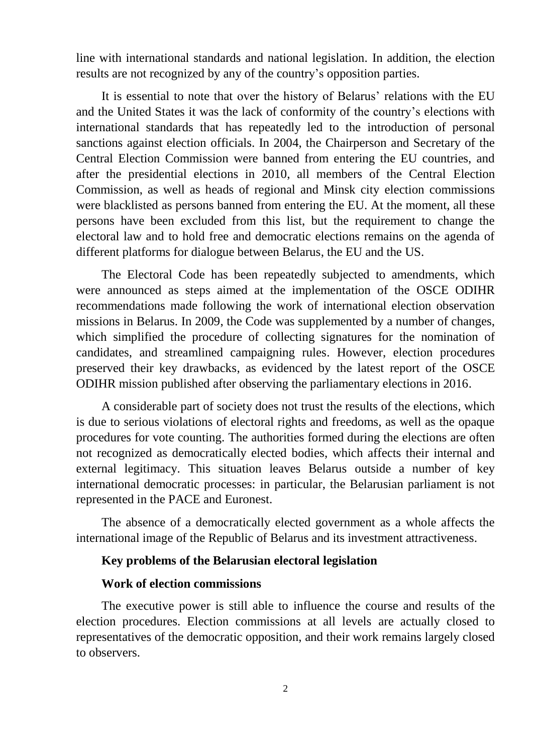line with international standards and national legislation. In addition, the election results are not recognized by any of the country's opposition parties.

It is essential to note that over the history of Belarus' relations with the EU and the United States it was the lack of conformity of the country's elections with international standards that has repeatedly led to the introduction of personal sanctions against election officials. In 2004, the Chairperson and Secretary of the Central Election Commission were banned from entering the EU countries, and after the presidential elections in 2010, all members of the Central Election Commission, as well as heads of regional and Minsk city election commissions were blacklisted as persons banned from entering the EU. At the moment, all these persons have been excluded from this list, but the requirement to change the electoral law and to hold free and democratic elections remains on the agenda of different platforms for dialogue between Belarus, the EU and the US.

The Electoral Code has been repeatedly subjected to amendments, which were announced as steps aimed at the implementation of the OSCE ODIHR recommendations made following the work of international election observation missions in Belarus. In 2009, the Code was supplemented by a number of changes, which simplified the procedure of collecting signatures for the nomination of candidates, and streamlined campaigning rules. However, election procedures preserved their key drawbacks, as evidenced by the latest report of the OSCE ODIHR mission published after observing the parliamentary elections in 2016.

A considerable part of society does not trust the results of the elections, which is due to serious violations of electoral rights and freedoms, as well as the opaque procedures for vote counting. The authorities formed during the elections are often not recognized as democratically elected bodies, which affects their internal and external legitimacy. This situation leaves Belarus outside a number of key international democratic processes: in particular, the Belarusian parliament is not represented in the PACE and Euronest.

The absence of a democratically elected government as a whole affects the international image of the Republic of Belarus and its investment attractiveness.

### **Key problems of the Belarusian electoral legislation**

## **Work of election commissions**

The executive power is still able to influence the course and results of the election procedures. Election commissions at all levels are actually closed to representatives of the democratic opposition, and their work remains largely closed to observers.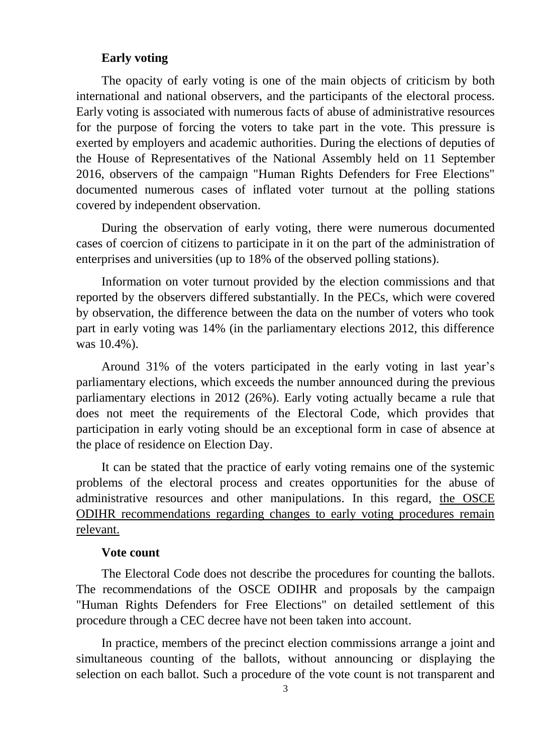### **Early voting**

The opacity of early voting is one of the main objects of criticism by both international and national observers, and the participants of the electoral process. Early voting is associated with numerous facts of abuse of administrative resources for the purpose of forcing the voters to take part in the vote. This pressure is exerted by employers and academic authorities. During the elections of deputies of the House of Representatives of the National Assembly held on 11 September 2016, observers of the campaign "Human Rights Defenders for Free Elections" documented numerous cases of inflated voter turnout at the polling stations covered by independent observation.

During the observation of early voting, there were numerous documented cases of coercion of citizens to participate in it on the part of the administration of enterprises and universities (up to 18% of the observed polling stations).

Information on voter turnout provided by the election commissions and that reported by the observers differed substantially. In the PECs, which were covered by observation, the difference between the data on the number of voters who took part in early voting was 14% (in the parliamentary elections 2012, this difference was 10.4%).

Around 31% of the voters participated in the early voting in last year's parliamentary elections, which exceeds the number announced during the previous parliamentary elections in 2012 (26%). Early voting actually became a rule that does not meet the requirements of the Electoral Code, which provides that participation in early voting should be an exceptional form in case of absence at the place of residence on Election Day.

It can be stated that the practice of early voting remains one of the systemic problems of the electoral process and creates opportunities for the abuse of administrative resources and other manipulations. In this regard, the OSCE ODIHR recommendations regarding changes to early voting procedures remain relevant.

#### **Vote count**

The Electoral Code does not describe the procedures for counting the ballots. The recommendations of the OSCE ODIHR and proposals by the campaign "Human Rights Defenders for Free Elections" on detailed settlement of this procedure through a CEC decree have not been taken into account.

In practice, members of the precinct election commissions arrange a joint and simultaneous counting of the ballots, without announcing or displaying the selection on each ballot. Such a procedure of the vote count is not transparent and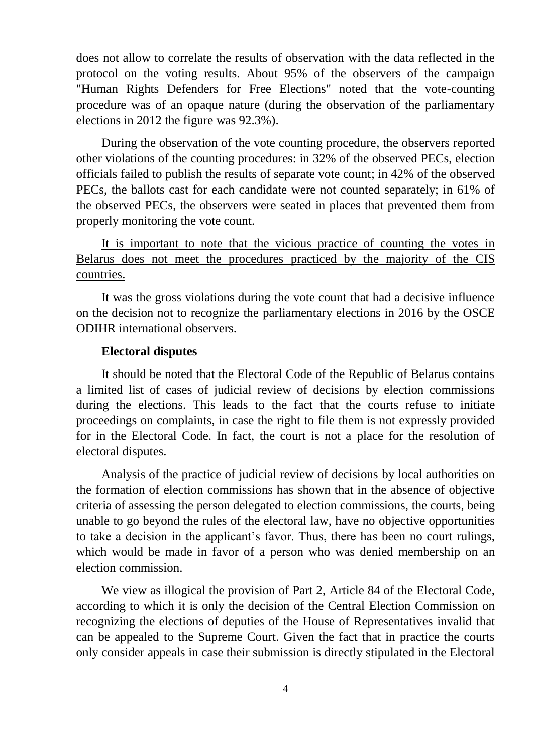does not allow to correlate the results of observation with the data reflected in the protocol on the voting results. About 95% of the observers of the campaign "Human Rights Defenders for Free Elections" noted that the vote-counting procedure was of an opaque nature (during the observation of the parliamentary elections in 2012 the figure was 92.3%).

During the observation of the vote counting procedure, the observers reported other violations of the counting procedures: in 32% of the observed PECs, election officials failed to publish the results of separate vote count; in 42% of the observed PECs, the ballots cast for each candidate were not counted separately; in 61% of the observed PECs, the observers were seated in places that prevented them from properly monitoring the vote count.

It is important to note that the vicious practice of counting the votes in Belarus does not meet the procedures practiced by the majority of the CIS countries.

It was the gross violations during the vote count that had a decisive influence on the decision not to recognize the parliamentary elections in 2016 by the OSCE ODIHR international observers.

### **Electoral disputes**

It should be noted that the Electoral Code of the Republic of Belarus contains a limited list of cases of judicial review of decisions by election commissions during the elections. This leads to the fact that the courts refuse to initiate proceedings on complaints, in case the right to file them is not expressly provided for in the Electoral Code. In fact, the court is not a place for the resolution of electoral disputes.

Analysis of the practice of judicial review of decisions by local authorities on the formation of election commissions has shown that in the absence of objective criteria of assessing the person delegated to election commissions, the courts, being unable to go beyond the rules of the electoral law, have no objective opportunities to take a decision in the applicant's favor. Thus, there has been no court rulings, which would be made in favor of a person who was denied membership on an election commission.

We view as illogical the provision of Part 2, Article 84 of the Electoral Code, according to which it is only the decision of the Central Election Commission on recognizing the elections of deputies of the House of Representatives invalid that can be appealed to the Supreme Court. Given the fact that in practice the courts only consider appeals in case their submission is directly stipulated in the Electoral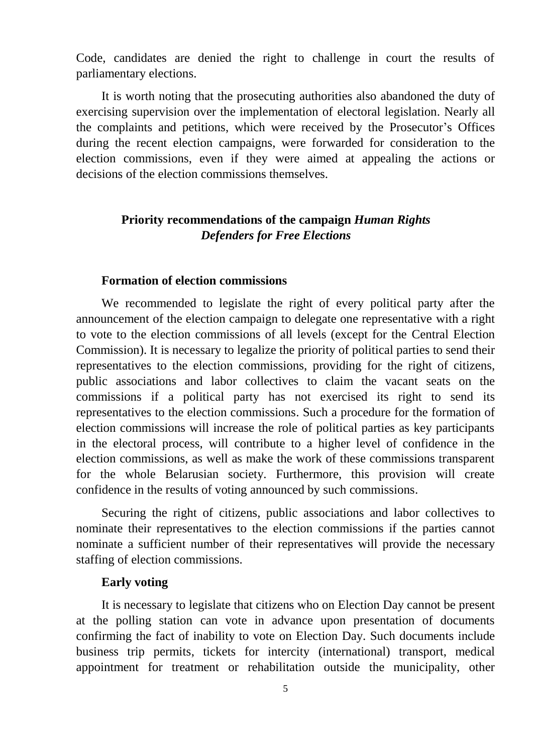Code, candidates are denied the right to challenge in court the results of parliamentary elections.

It is worth noting that the prosecuting authorities also abandoned the duty of exercising supervision over the implementation of electoral legislation. Nearly all the complaints and petitions, which were received by the Prosecutor's Offices during the recent election campaigns, were forwarded for consideration to the election commissions, even if they were aimed at appealing the actions or decisions of the election commissions themselves.

# **Priority recommendations of the campaign** *Human Rights Defenders for Free Elections*

## **Formation of election commissions**

We recommended to legislate the right of every political party after the announcement of the election campaign to delegate one representative with a right to vote to the election commissions of all levels (except for the Central Election Commission). It is necessary to legalize the priority of political parties to send their representatives to the election commissions, providing for the right of citizens, public associations and labor collectives to claim the vacant seats on the commissions if a political party has not exercised its right to send its representatives to the election commissions. Such a procedure for the formation of election commissions will increase the role of political parties as key participants in the electoral process, will contribute to a higher level of confidence in the election commissions, as well as make the work of these commissions transparent for the whole Belarusian society. Furthermore, this provision will create confidence in the results of voting announced by such commissions.

Securing the right of citizens, public associations and labor collectives to nominate their representatives to the election commissions if the parties cannot nominate a sufficient number of their representatives will provide the necessary staffing of election commissions.

#### **Early voting**

It is necessary to legislate that citizens who on Election Day cannot be present at the polling station can vote in advance upon presentation of documents confirming the fact of inability to vote on Election Day. Such documents include business trip permits, tickets for intercity (international) transport, medical appointment for treatment or rehabilitation outside the municipality, other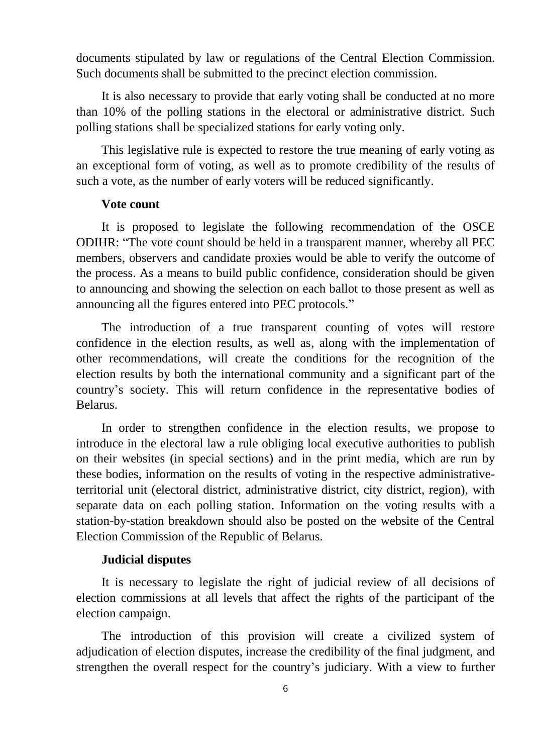documents stipulated by law or regulations of the Central Election Commission. Such documents shall be submitted to the precinct election commission.

It is also necessary to provide that early voting shall be conducted at no more than 10% of the polling stations in the electoral or administrative district. Such polling stations shall be specialized stations for early voting only.

This legislative rule is expected to restore the true meaning of early voting as an exceptional form of voting, as well as to promote credibility of the results of such a vote, as the number of early voters will be reduced significantly.

## **Vote count**

It is proposed to legislate the following recommendation of the OSCE ODIHR: "The vote count should be held in a transparent manner, whereby all PEC members, observers and candidate proxies would be able to verify the outcome of the process. As a means to build public confidence, consideration should be given to announcing and showing the selection on each ballot to those present as well as announcing all the figures entered into PEC protocols."

The introduction of a true transparent counting of votes will restore confidence in the election results, as well as, along with the implementation of other recommendations, will create the conditions for the recognition of the election results by both the international community and a significant part of the country's society. This will return confidence in the representative bodies of Belarus.

In order to strengthen confidence in the election results, we propose to introduce in the electoral law a rule obliging local executive authorities to publish on their websites (in special sections) and in the print media, which are run by these bodies, information on the results of voting in the respective administrativeterritorial unit (electoral district, administrative district, city district, region), with separate data on each polling station. Information on the voting results with a station-by-station breakdown should also be posted on the website of the Central Election Commission of the Republic of Belarus.

### **Judicial disputes**

It is necessary to legislate the right of judicial review of all decisions of election commissions at all levels that affect the rights of the participant of the election campaign.

The introduction of this provision will create a civilized system of adjudication of election disputes, increase the credibility of the final judgment, and strengthen the overall respect for the country's judiciary. With a view to further